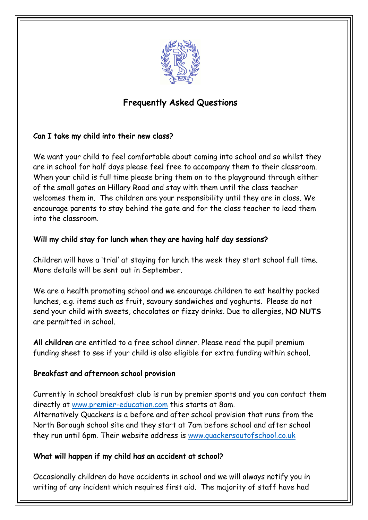

# Frequently Asked Questions

#### Can I take my child into their new class?

We want your child to feel comfortable about coming into school and so whilst they are in school for half days please feel free to accompany them to their classroom. When your child is full time please bring them on to the playground through either of the small gates on Hillary Road and stay with them until the class teacher welcomes them in. The children are your responsibility until they are in class. We encourage parents to stay behind the gate and for the class teacher to lead them into the classroom.

## Will my child stay for lunch when they are having half day sessions?

Children will have a 'trial' at staying for lunch the week they start school full time. More details will be sent out in September.

We are a health promoting school and we encourage children to eat healthy packed lunches, e.g. items such as fruit, savoury sandwiches and yoghurts. Please do not send your child with sweets, chocolates or fizzy drinks. Due to allergies, NO NUTS are permitted in school.

All children are entitled to a free school dinner. Please read the pupil premium funding sheet to see if your child is also eligible for extra funding within school.

# Breakfast and afternoon school provision

Currently in school breakfast club is run by premier sports and you can contact them directly at www.premier-education.com this starts at 8am. Alternatively Quackers is a before and after school provision that runs from the North Borough school site and they start at 7am before school and after school they run until 6pm. Their website address is www.quackersoutofschool.co.uk

#### What will happen if my child has an accident at school?

Occasionally children do have accidents in school and we will always notify you in writing of any incident which requires first aid. The majority of staff have had